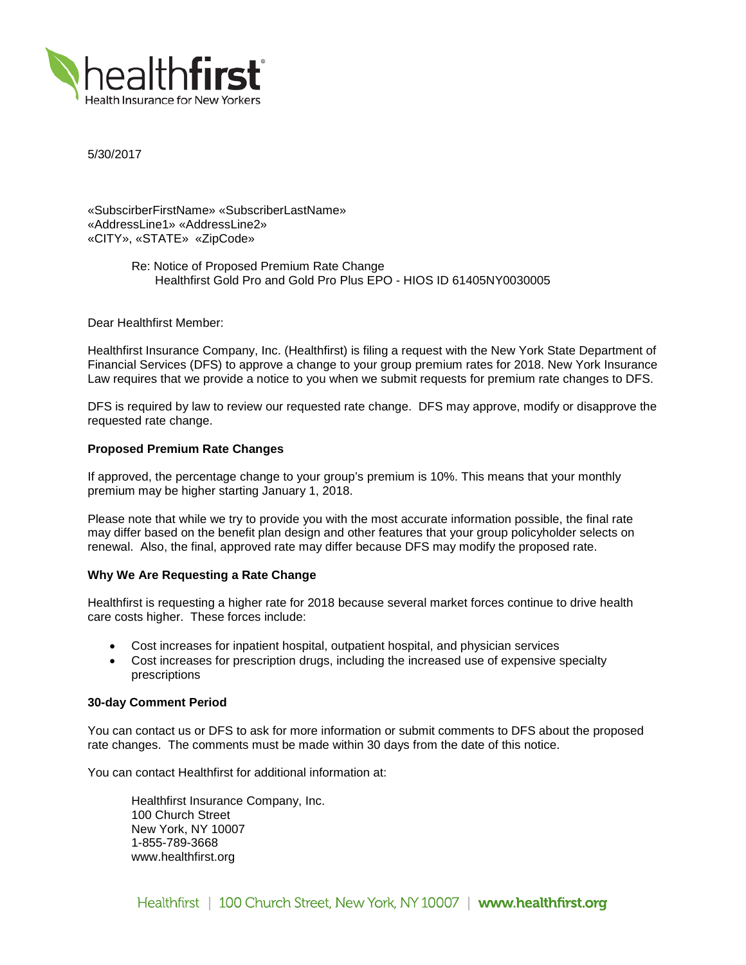

5/30/2017

«SubscirberFirstName» «SubscriberLastName» «AddressLine1» «AddressLine2» «CITY», «STATE» «ZipCode»

> Re: Notice of Proposed Premium Rate Change Healthfirst Gold Pro and Gold Pro Plus EPO - HIOS ID 61405NY0030005

Dear Healthfirst Member:

Healthfirst Insurance Company, Inc. (Healthfirst) is filing a request with the New York State Department of Financial Services (DFS) to approve a change to your group premium rates for 2018. New York Insurance Law requires that we provide a notice to you when we submit requests for premium rate changes to DFS.

DFS is required by law to review our requested rate change. DFS may approve, modify or disapprove the requested rate change.

## **Proposed Premium Rate Changes**

If approved, the percentage change to your group's premium is 10%. This means that your monthly premium may be higher starting January 1, 2018.

Please note that while we try to provide you with the most accurate information possible, the final rate may differ based on the benefit plan design and other features that your group policyholder selects on renewal. Also, the final, approved rate may differ because DFS may modify the proposed rate.

### **Why We Are Requesting a Rate Change**

Healthfirst is requesting a higher rate for 2018 because several market forces continue to drive health care costs higher. These forces include:

- Cost increases for inpatient hospital, outpatient hospital, and physician services
- Cost increases for prescription drugs, including the increased use of expensive specialty prescriptions

### **30-day Comment Period**

You can contact us or DFS to ask for more information or submit comments to DFS about the proposed rate changes. The comments must be made within 30 days from the date of this notice.

You can contact Healthfirst for additional information at:

Healthfirst Insurance Company, Inc. 100 Church Street New York, NY 10007 1-855-789-3668 www.healthfirst.org